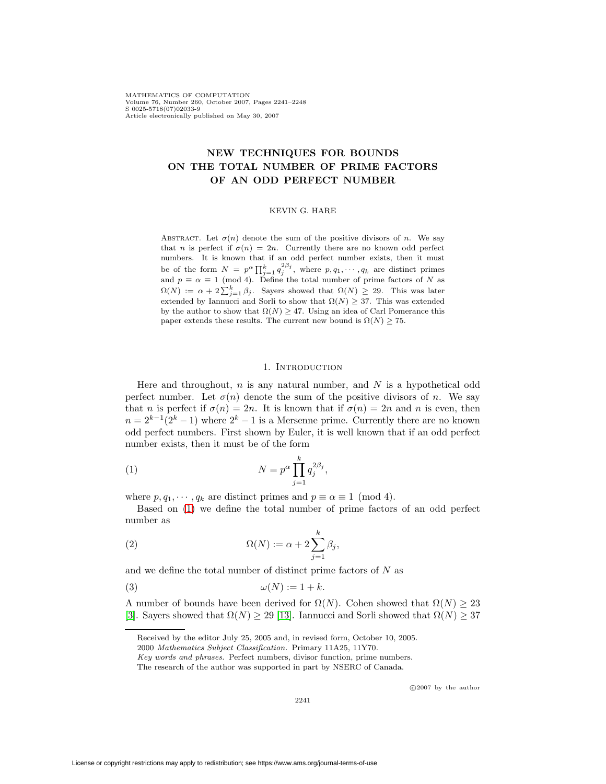MATHEMATICS OF COMPUTATION Volume 76, Number 260, October 2007, Pages 2241–2248 S 0025-5718(07)02033-9 Article electronically published on May 30, 2007

# **NEW TECHNIQUES FOR BOUNDS ON THE TOTAL NUMBER OF PRIME FACTORS OF AN ODD PERFECT NUMBER**

#### KEVIN G. HARE

ABSTRACT. Let  $\sigma(n)$  denote the sum of the positive divisors of n. We say that n is perfect if  $\sigma(n)=2n$ . Currently there are no known odd perfect numbers. It is known that if an odd perfect number exists, then it must be of the form  $N = p^{\alpha} \prod_{j=1}^{k} q_j^{2\beta_j}$ , where  $p, q_1, \dots, q_k$  are distinct primes and  $p \equiv \alpha \equiv 1 \pmod{4}$ . Define the total number of prime factors of N as  $\Omega(N) := \alpha + 2\sum_{j=1}^{k} \beta_j$ . Sayers showed that  $\Omega(N) \geq 29$ . This was later extended by Iannucci and Sorli to show that  $\Omega(N) \geq 37$ . This was extended by the author to show that  $\Omega(N) \geq 47$ . Using an idea of Carl Pomerance this paper extends these results. The current new bound is  $\Omega(N) \geq 75$ .

#### 1. INTRODUCTION

Here and throughout,  $n$  is any natural number, and  $N$  is a hypothetical odd perfect number. Let  $\sigma(n)$  denote the sum of the positive divisors of n. We say that n is perfect if  $\sigma(n)=2n$ . It is known that if  $\sigma(n)=2n$  and n is even, then  $n = 2^{k-1}(2^k-1)$  where  $2^k-1$  is a Mersenne prime. Currently there are no known odd perfect numbers. First shown by Euler, it is well known that if an odd perfect number exists, then it must be of the form

<span id="page-0-0"></span>(1) 
$$
N = p^{\alpha} \prod_{j=1}^{k} q_j^{2\beta_j},
$$

where  $p, q_1, \dots, q_k$  are distinct primes and  $p \equiv \alpha \equiv 1 \pmod{4}$ .

Based on [\(1\)](#page-0-0) we define the total number of prime factors of an odd perfect number as

(2) 
$$
\Omega(N) := \alpha + 2 \sum_{j=1}^{k} \beta_j,
$$

and we define the total number of distinct prime factors of  $N$  as

$$
\omega(N) := 1 + k.
$$

A number of bounds have been derived for  $\Omega(N)$ . Cohen showed that  $\Omega(N) \geq 23$ [\[3\]](#page-6-0). Sayers showed that  $\Omega(N) \geq 29$  [\[13\]](#page-7-0). Iannucci and Sorli showed that  $\Omega(N) \geq 37$ 

c 2007 by the author

Received by the editor July 25, 2005 and, in revised form, October 10, 2005.

<sup>2000</sup> Mathematics Subject Classification. Primary 11A25, 11Y70.

Key words and phrases. Perfect numbers, divisor function, prime numbers.

The research of the author was supported in part by NSERC of Canada.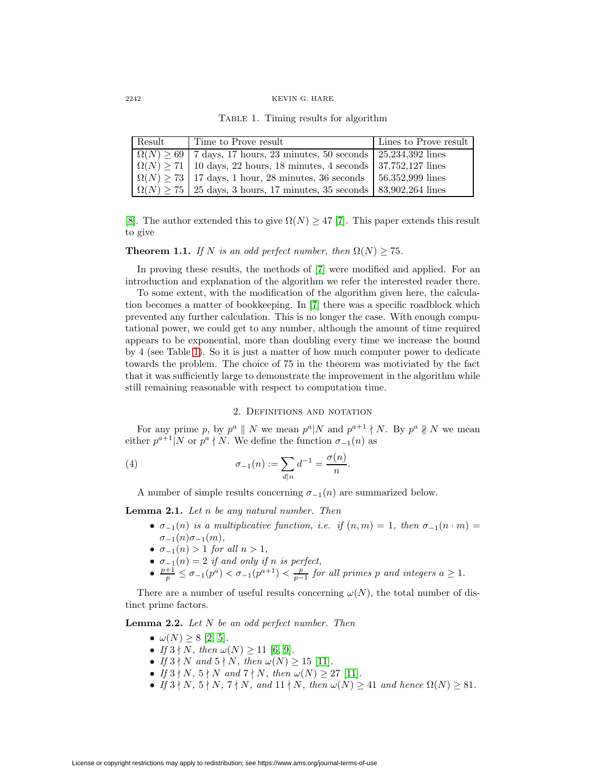#### 2242 KEVIN G. HARE

<span id="page-1-0"></span>Table 1. Timing results for algorithm

| Result | Time to Prove result                                                              | Lines to Prove result |
|--------|-----------------------------------------------------------------------------------|-----------------------|
|        | $\Omega(N) \geq 69$   7 days, 17 hours, 23 minutes, 50 seconds   25,234,392 lines |                       |
|        | $\Omega(N) \ge 71$   10 days, 22 hours, 18 minutes, 4 seconds   37,752,127 lines  |                       |
|        | $\Omega(N) \geq 73$   17 days, 1 hour, 28 minutes, 36 seconds   56,352,999 lines  |                       |
|        | $\Omega(N) \ge 75$   25 days, 3 hours, 17 minutes, 35 seconds   83,902,264 lines  |                       |

<span id="page-1-1"></span>[\[8\]](#page-6-1). The author extended this to give  $\Omega(N) \geq 47$  [\[7\]](#page-6-2). This paper extends this result to give

# **Theorem 1.1.** If N is an odd perfect number, then  $\Omega(N) \ge 75$ .

In proving these results, the methods of [\[7\]](#page-6-2) were modified and applied. For an introduction and explanation of the algorithm we refer the interested reader there.

To some extent, with the modification of the algorithm given here, the calculation becomes a matter of bookkeeping. In [\[7\]](#page-6-2) there was a specific roadblock which prevented any further calculation. This is no longer the case. With enough computational power, we could get to any number, although the amount of time required appears to be exponential, more than doubling every time we increase the bound by 4 (see Table [1\)](#page-1-0). So it is just a matter of how much computer power to dedicate towards the problem. The choice of 75 in the theorem was motiviated by the fact that it was sufficiently large to demonstrate the improvement in the algorithm while still remaining reasonable with respect to computation time.

# 2. Definitions and notation

For any prime p, by  $p^a \parallel N$  we mean  $p^a \parallel N$  and  $p^{a+1} \nmid N$ . By  $p^a \nparallel N$  we mean either  $p^{a+1}|N$  or  $p^a \nmid N$ . We define the function  $\sigma_{-1}(n)$  as

(4) 
$$
\sigma_{-1}(n) := \sum_{d|n} d^{-1} = \frac{\sigma(n)}{n}.
$$

A number of simple results concerning  $\sigma_{-1}(n)$  are summarized below.

**Lemma 2.1.** Let n be any natural number. Then

- $\sigma_{-1}(n)$  is a multiplicative function, i.e. if  $(n,m)=1$ , then  $\sigma_{-1}(n \cdot m)$  =  $\sigma_{-1}(n)\sigma_{-1}(m),$
- $\sigma_{-1}(n) > 1$  for all  $n > 1$ ,
- $\sigma_{-1}(n)=2$  if and only if n is perfect,
- $\frac{p+1}{p} \leq \sigma_{-1}(p^a) < \sigma_{-1}(p^{a+1}) < \frac{p}{p-1}$  for all primes p and integers  $a \geq 1$ .

There are a number of useful results concerning  $\omega(N)$ , the total number of distinct prime factors.

<span id="page-1-2"></span>**Lemma 2.2.** Let N be an odd perfect number. Then

- $\omega(N) \geq 8$  [\[2,](#page-6-3) [5\]](#page-6-4).
- If  $3 \nmid N$ , then  $\omega(N) \geq 11$  [\[6,](#page-6-5) [9\]](#page-7-1).
- If  $3 \nmid N$  and  $5 \nmid N$ , then  $\omega(N) \geq 15$  [\[11\]](#page-7-2).
- If  $3 \nmid N$ ,  $5 \nmid N$  and  $7 \nmid N$ , then  $\omega(N) \geq 27$  [\[11\]](#page-7-2).
- If  $3 \nmid N$ ,  $5 \nmid N$ ,  $7 \nmid N$ , and  $11 \nmid N$ , then  $\omega(N) \geq 41$  and hence  $\Omega(N) \geq 81$ .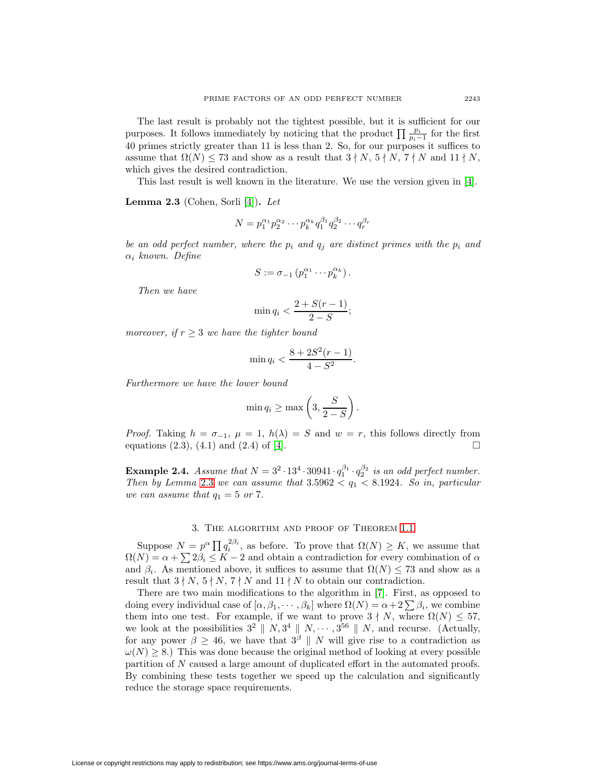The last result is probably not the tightest possible, but it is sufficient for our purposes. It follows immediately by noticing that the product  $\prod_{p_i-1} \frac{p_i}{p_i-1}$  for the first 40 primes strictly greater than 11 is less than 2. So, for our purposes it suffices to assume that  $\Omega(N) \leq 73$  and show as a result that  $3 \nmid N$ ,  $5 \nmid N$ ,  $7 \nmid N$  and  $11 \nmid N$ , which gives the desired contradiction.

This last result is well known in the literature. We use the version given in [\[4\]](#page-6-6).

<span id="page-2-0"></span>**Lemma 2.3** (Cohen, Sorli [\[4\]](#page-6-6))**.** Let

$$
N = p_1^{\alpha_1} p_2^{\alpha_2} \cdots p_k^{\alpha_k} q_1^{\beta_1} q_2^{\beta_2} \cdots q_r^{\beta_r}
$$

be an odd perfect number, where the  $p_i$  and  $q_j$  are distinct primes with the  $p_i$  and  $\alpha_i$  known. Define

$$
S := \sigma_{-1} \left( p_1^{\alpha_1} \cdots p_k^{\alpha_k} \right).
$$

Then we have

$$
\min q_i < \frac{2 + S(r-1)}{2-S};
$$

moreover, if  $r \geq 3$  we have the tighter bound

$$
\min q_i < \frac{8 + 2S^2(r - 1)}{4 - S^2}.
$$

Furthermore we have the lower bound

$$
\min q_i \ge \max\left(3, \frac{S}{2-S}\right).
$$

*Proof.* Taking  $h = \sigma_{-1}$ ,  $\mu = 1$ ,  $h(\lambda) = S$  and  $w = r$ , this follows directly from equations (2.3) (4.1) and (2.4) of [4] equations (2.3), (4.1) and (2.4) of [\[4\]](#page-6-6).

**Example 2.4.** Assume that  $N = 3^2 \cdot 13^4 \cdot 30941 \cdot q_1^{\beta_1} \cdot q_2^{\beta_2}$  is an odd perfect number. Then by Lemma [2.3](#page-2-0) we can assume that  $3.5962 < q_1 < 8.1924$ . So in, particular we can assume that  $q_1 = 5$  or 7.

## 3. The algorithm and proof of Theorem [1.1](#page-1-1)

Suppose  $N = p^{\alpha} \prod q_i^{2\beta_i}$ , as before. To prove that  $\Omega(N) \geq K$ , we assume that  $\Omega(N) = \alpha + \sum 2\beta_i \leq K - 2$  and obtain a contradiction for every combination of  $\alpha$ and  $\beta_i$ . As mentioned above, it suffices to assume that  $\Omega(N) \leq 73$  and show as a result that  $3 \nmid N$ ,  $5 \nmid N$ ,  $7 \nmid N$  and  $11 \nmid N$  to obtain our contradiction.

There are two main modifications to the algorithm in [\[7\]](#page-6-2). First, as opposed to doing every individual case of  $[\alpha, \beta_1, \dots, \beta_k]$  where  $\Omega(N) = \alpha + 2 \sum \beta_i$ , we combine them into one test. For example, if we want to prove  $3 \nmid N$ , where  $\Omega(N) \leq 57$ , we look at the possibilities  $3^2 \parallel N$ ,  $3^4 \parallel N$ ,  $\cdots$ ,  $3^{56} \parallel N$ , and recurse. (Actually, for any power  $\beta \geq 46$ , we have that  $3^{\beta}$  || N will give rise to a contradiction as  $\omega(N) \geq 8$ .) This was done because the original method of looking at every possible partition of N caused a large amount of duplicated effort in the automated proofs. By combining these tests together we speed up the calculation and significantly reduce the storage space requirements.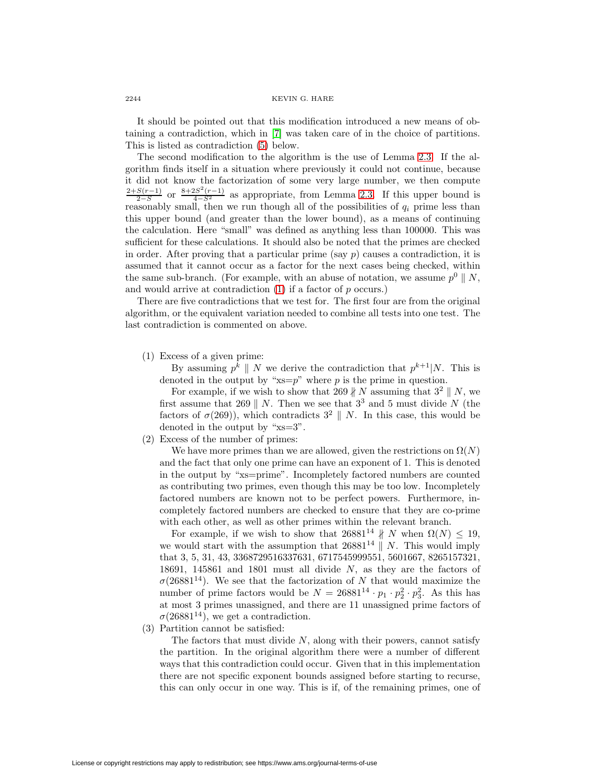It should be pointed out that this modification introduced a new means of obtaining a contradiction, which in [\[7\]](#page-6-2) was taken care of in the choice of partitions. This is listed as contradiction [\(5\)](#page-4-0) below.

The second modification to the algorithm is the use of Lemma [2.3.](#page-2-0) If the algorithm finds itself in a situation where previously it could not continue, because it did not know the factorization of some very large number, we then compute  $\frac{2+S(r-1)}{2-S}$  or  $\frac{8+2S^2(r-1)}{4-S^2}$  as appropriate, from Lemma [2.3.](#page-2-0) If this upper bound is reasonably small, then we run though all of the possibilities of  $q_i$  prime less than this upper bound (and greater than the lower bound), as a means of continuing the calculation. Here "small" was defined as anything less than 100000. This was sufficient for these calculations. It should also be noted that the primes are checked in order. After proving that a particular prime (say  $p$ ) causes a contradiction, it is assumed that it cannot occur as a factor for the next cases being checked, within the same sub-branch. (For example, with an abuse of notation, we assume  $p^0 \parallel N$ , and would arrive at contradiction  $(1)$  if a factor of p occurs.)

<span id="page-3-0"></span>There are five contradictions that we test for. The first four are from the original algorithm, or the equivalent variation needed to combine all tests into one test. The last contradiction is commented on above.

(1) Excess of a given prime:

By assuming  $p^k \parallel N$  we derive the contradiction that  $p^{k+1}|N$ . This is denoted in the output by " $x = p$ " where p is the prime in question.

For example, if we wish to show that 269  $\nparallel N$  assuming that  $3^2 \parallel N$ , we first assume that 269 || N. Then we see that  $3<sup>3</sup>$  and 5 must divide N (the factors of  $\sigma(269)$ ), which contradicts  $3^2 \parallel N$ . In this case, this would be denoted in the output by "xs=3".

(2) Excess of the number of primes:

We have more primes than we are allowed, given the restrictions on  $\Omega(N)$ and the fact that only one prime can have an exponent of 1. This is denoted in the output by "xs=prime". Incompletely factored numbers are counted as contributing two primes, even though this may be too low. Incompletely factored numbers are known not to be perfect powers. Furthermore, incompletely factored numbers are checked to ensure that they are co-prime with each other, as well as other primes within the relevant branch.

For example, if we wish to show that  $26881^{14}$   $\nparallel$  N when  $\Omega(N) \leq 19$ , we would start with the assumption that  $26881^{14}$  N. This would imply that 3, 5, 31, 43, 3368729516337631, 6717545999551, 5601667, 8265157321, 18691, 145861 and 1801 must all divide N, as they are the factors of  $\sigma$ (26881<sup>14</sup>). We see that the factorization of N that would maximize the number of prime factors would be  $N = 26881^{14} \cdot p_1 \cdot p_2^2 \cdot p_3^2$ . As this has at most 3 primes unassigned, and there are 11 unassigned prime factors of  $\sigma(26881^{14})$ , we get a contradiction.

(3) Partition cannot be satisfied:

The factors that must divide  $N$ , along with their powers, cannot satisfy the partition. In the original algorithm there were a number of different ways that this contradiction could occur. Given that in this implementation there are not specific exponent bounds assigned before starting to recurse, this can only occur in one way. This is if, of the remaining primes, one of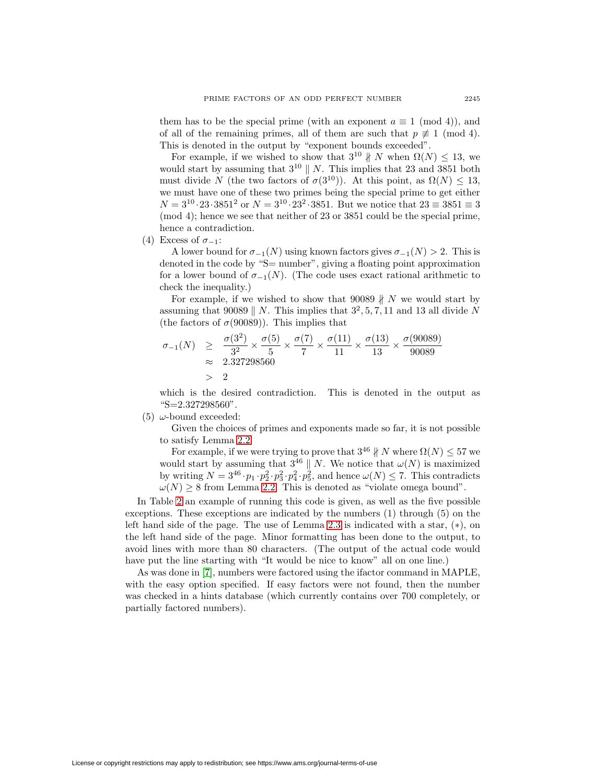them has to be the special prime (with an exponent  $a \equiv 1 \pmod{4}$ ), and of all of the remaining primes, all of them are such that  $p \not\equiv 1 \pmod{4}$ . This is denoted in the output by "exponent bounds exceeded".

For example, if we wished to show that  $3^{10}$   $\parallel$  N when  $\Omega(N) \leq 13$ , we would start by assuming that  $3^{10}$  || N. This implies that 23 and 3851 both must divide N (the two factors of  $\sigma(3^{10})$ ). At this point, as  $\Omega(N) \leq 13$ , we must have one of these two primes being the special prime to get either  $N = 3^{10} \cdot 23 \cdot 3851^2$  or  $N = 3^{10} \cdot 23^2 \cdot 3851$ . But we notice that  $23 \equiv 3851 \equiv 3$ (mod 4); hence we see that neither of 23 or 3851 could be the special prime, hence a contradiction.

(4) Excess of  $\sigma_{-1}$ :

A lower bound for  $\sigma_{-1}(N)$  using known factors gives  $\sigma_{-1}(N) > 2$ . This is denoted in the code by "S= number", giving a floating point approximation for a lower bound of  $\sigma_{-1}(N)$ . (The code uses exact rational arithmetic to check the inequality.)

For example, if we wished to show that 90089  $\nparallel$  N we would start by assuming that 90089 || N. This implies that  $3^2$ , 5, 7, 11 and 13 all divide N (the factors of  $\sigma(90089)$ ). This implies that

$$
\begin{array}{rcl}\n\sigma_{-1}(N) & \geq & \frac{\sigma(3^2)}{3^2} \times \frac{\sigma(5)}{5} \times \frac{\sigma(7)}{7} \times \frac{\sigma(11)}{11} \times \frac{\sigma(13)}{13} \times \frac{\sigma(90089)}{90089} \\
& \approx & 2.327298560 \\
& > 2\n\end{array}
$$

which is the desired contradiction. This is denoted in the output as "S=2.327298560".

<span id="page-4-0"></span>(5)  $\omega$ -bound exceeded:

Given the choices of primes and exponents made so far, it is not possible to satisfy Lemma [2.2.](#page-1-2)

For example, if we were trying to prove that  $3^{46}$   $\nparallel$  N where  $\Omega(N) \leq 57$  we would start by assuming that  $3^{46} \parallel N$ . We notice that  $\omega(N)$  is maximized by writing  $N = 3^{46} \cdot p_1 \cdot p_2^2 \cdot p_3^2 \cdot p_4^2 \cdot p_5^2$ , and hence  $\omega(N) \le 7$ . This contradicts  $\omega(N) \geq 8$  from Lemma [2.2.](#page-1-2) This is denoted as "violate omega bound".

In Table [2](#page-5-0) an example of running this code is given, as well as the five possible exceptions. These exceptions are indicated by the numbers (1) through (5) on the left hand side of the page. The use of Lemma [2.3](#page-2-0) is indicated with a star, (∗), on the left hand side of the page. Minor formatting has been done to the output, to avoid lines with more than 80 characters. (The output of the actual code would have put the line starting with "It would be nice to know" all on one line.)

As was done in [\[7\]](#page-6-2), numbers were factored using the ifactor command in MAPLE, with the easy option specified. If easy factors were not found, then the number was checked in a hints database (which currently contains over 700 completely, or partially factored numbers).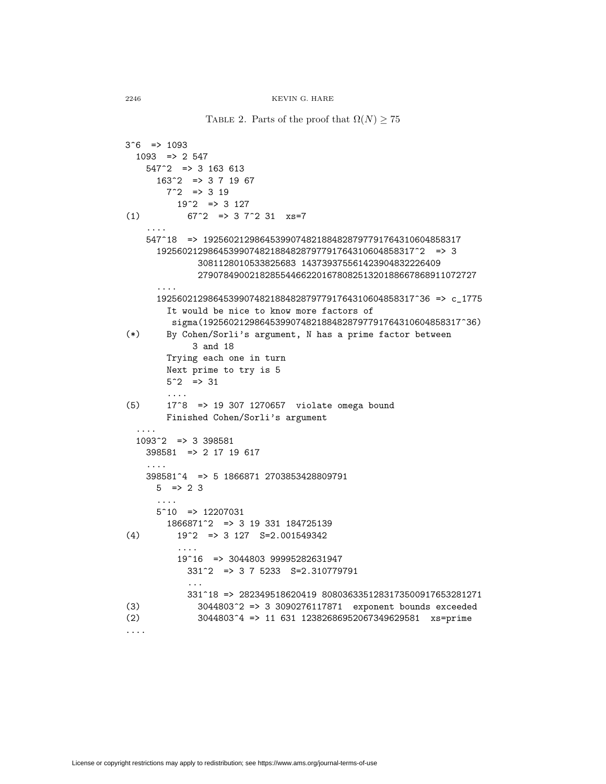<span id="page-5-0"></span>TABLE 2. Parts of the proof that  $\Omega(N) \geq 75$ 

```
3^{\circ}6 => 1093
  1093 => 2 547
    547^2 => 3 163 613
      163^2 => 3 7 19 67
        7^2 => 3 19
          19^{\circ}2 => 3 127
(1) 67^{\circ}2 \Rightarrow 3 \quad 7^{\circ}2 \quad 31 \quad x \quad 5^{\circ}7....
    547^18 => 19256021298645399074821884828797791764310604858317
      19256021298645399074821884828797791764310604858317^2 => 3
              3081128010533825683 143739375561423904832226409
              279078490021828554466220167808251320188667868911072727
      ....
      19256021298645399074821884828797791764310604858317^36 => c_1775
        It would be nice to know more factors of
         sigma(19256021298645399074821884828797791764310604858317^36)
(*) By Cohen/Sorli's argument, N has a prime factor between
             3 and 18
        Trying each one in turn
        Next prime to try is 5
        5^{\circ}2 => 31
        ....
(5) 17^8 => 19 307 1270657 violate omega bound
        Finished Cohen/Sorli's argument
  ....
  1093^2 => 3 398581
    398581 => 2 17 19 617
    ....
    398581^4 => 5 1866871 2703853428809791
      5 \Rightarrow 23....
      5^10 => 12207031
        1866871^2 => 3 19 331 184725139
(4) 19^2 => 3 127 S=2.001549342
          ....
          19^16 => 3044803 99995282631947
            331^2 => 3 7 5233 S=2.310779791
            ...
            331^18 => 282349518620419 8080363351283173500917653281271
(3) 3044803^2 => 3 3090276117871 exponent bounds exceeded
(2) 3044803^4 => 11 631 12382686952067349629581 xs=prime
....
```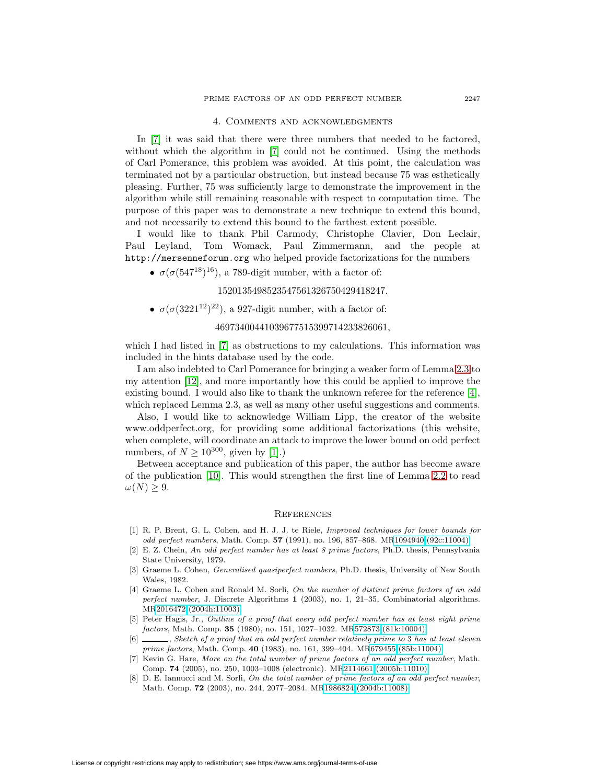# 4. Comments and acknowledgments

In [\[7\]](#page-6-2) it was said that there were three numbers that needed to be factored, without which the algorithm in [\[7\]](#page-6-2) could not be continued. Using the methods of Carl Pomerance, this problem was avoided. At this point, the calculation was terminated not by a particular obstruction, but instead because 75 was esthetically pleasing. Further, 75 was sufficiently large to demonstrate the improvement in the algorithm while still remaining reasonable with respect to computation time. The purpose of this paper was to demonstrate a new technique to extend this bound, and not necessarily to extend this bound to the farthest extent possible.

I would like to thank Phil Carmody, Christophe Clavier, Don Leclair, Paul Leyland, Tom Womack, Paul Zimmermann, and the people at http://mersenneforum.org who helped provide factorizations for the numbers

•  $\sigma(\sigma(547^{18})^{16})$ , a 789-digit number, with a factor of:

1520135498523547561326750429418247.

•  $\sigma(\sigma(3221^{12})^{22})$ , a 927-digit number, with a factor of:

# 46973400441039677515399714233826061,

which I had listed in  $|7|$  as obstructions to my calculations. This information was included in the hints database used by the code.

I am also indebted to Carl Pomerance for bringing a weaker form of Lemma [2.3](#page-2-0) to my attention [\[12\]](#page-7-3), and more importantly how this could be applied to improve the existing bound. I would also like to thank the unknown referee for the reference  $[4]$ , which replaced Lemma 2.3, as well as many other useful suggestions and comments.

Also, I would like to acknowledge William Lipp, the creator of the website www.oddperfect.org, for providing some additional factorizations (this website, when complete, will coordinate an attack to improve the lower bound on odd perfect numbers, of  $N \ge 10^{300}$ , given by [\[1\]](#page-6-7).)

Between acceptance and publication of this paper, the author has become aware of the publication [\[10\]](#page-7-4). This would strengthen the first line of Lemma [2.2](#page-1-2) to read  $\omega(N) \geq 9$ .

#### **REFERENCES**

- <span id="page-6-7"></span>[1] R. P. Brent, G. L. Cohen, and H. J. J. te Riele, Improved techniques for lower bounds for odd perfect numbers, Math. Comp. **57** (1991), no. 196, 857–868. M[R1094940 \(92c:11004\)](http://www.ams.org/mathscinet-getitem?mr=1094940)
- <span id="page-6-3"></span>[2] E. Z. Chein, An odd perfect number has at least 8 prime factors, Ph.D. thesis, Pennsylvania State University, 1979.
- <span id="page-6-0"></span>[3] Graeme L. Cohen, *Generalised quasiperfect numbers*, Ph.D. thesis, University of New South Wales, 1982.
- <span id="page-6-6"></span>[4] Graeme L. Cohen and Ronald M. Sorli, On the number of distinct prime factors of an odd perfect number, J. Discrete Algorithms **1** (2003), no. 1, 21–35, Combinatorial algorithms. M[R2016472 \(2004h:11003\)](http://www.ams.org/mathscinet-getitem?mr=2016472)
- <span id="page-6-4"></span>[5] Peter Hagis, Jr., Outline of a proof that every odd perfect number has at least eight prime factors, Math. Comp. **35** (1980), no. 151, 1027–1032. M[R572873 \(81k:10004\)](http://www.ams.org/mathscinet-getitem?mr=572873)
- <span id="page-6-5"></span>[6] , Sketch of a proof that an odd perfect number relatively prime to 3 has at least eleven prime factors, Math. Comp. **40** (1983), no. 161, 399–404. M[R679455 \(85b:11004\)](http://www.ams.org/mathscinet-getitem?mr=679455)
- <span id="page-6-2"></span>[7] Kevin G. Hare, More on the total number of prime factors of an odd perfect number, Math. Comp. **74** (2005), no. 250, 1003–1008 (electronic). M[R2114661 \(2005h:11010\)](http://www.ams.org/mathscinet-getitem?mr=2114661)
- <span id="page-6-1"></span>[8] D. E. Iannucci and M. Sorli, On the total number of prime factors of an odd perfect number, Math. Comp. **72** (2003), no. 244, 2077–2084. M[R1986824 \(2004b:11008\)](http://www.ams.org/mathscinet-getitem?mr=1986824)